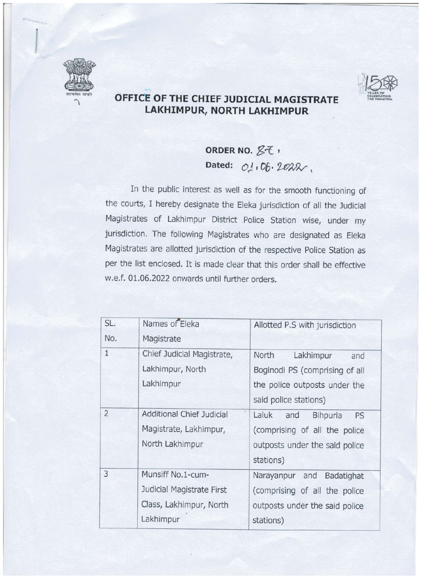



## OFFICE OF THE CHIEF JUDICIAL MAGISTRATE LAKHIMPUR, NORTH LAKHIMPUR

## ORDER NO.  $Zt$ , Dated:  $O_1$ ,  $O_0$ ,  $2P2\lambda$ ,

In the public interest as well as for the smooth functioning of the courts, I hereby designate the Eleka jurisdiction of all the Judicial Magistrates of Lakhimpur District Police Station wise, under my jurisdiction. The following Magistrates who are designated as Eleka Magistrates are allotted jurisdiction of the respective Police Station as per the list enclosed. It is made clear that this order shall be effective w.e.f. 01.06.2022 onwards until further orders.

| SL.            | Names of Eleka                   | Allotted P.S with jurisdiction |
|----------------|----------------------------------|--------------------------------|
| No.            | Magistrate                       |                                |
| $1\,$          | Chief Judicial Magistrate,       | North<br>Lakhimpur<br>and      |
|                | Lakhimpur, North                 | Boginodi PS (comprising of all |
|                | Lakhimpur                        | the police outposts under the  |
|                |                                  | said police stations)          |
| $\overline{2}$ | <b>Additional Chief Judicial</b> | Laluk<br>Bihpuria<br>and<br>PS |
|                | Magistrate, Lakhimpur,           | (comprising of all the police  |
|                | North Lakhimpur                  | outposts under the said police |
|                |                                  | stations)                      |
| 3              | Munsiff No.1-cum-                | Narayanpur and<br>Badatighat   |
|                | Judicial Magistrate First        | (comprising of all the police  |
|                | Class, Lakhimpur, North          | outposts under the said police |
|                | Lakhimpur                        | stations)                      |